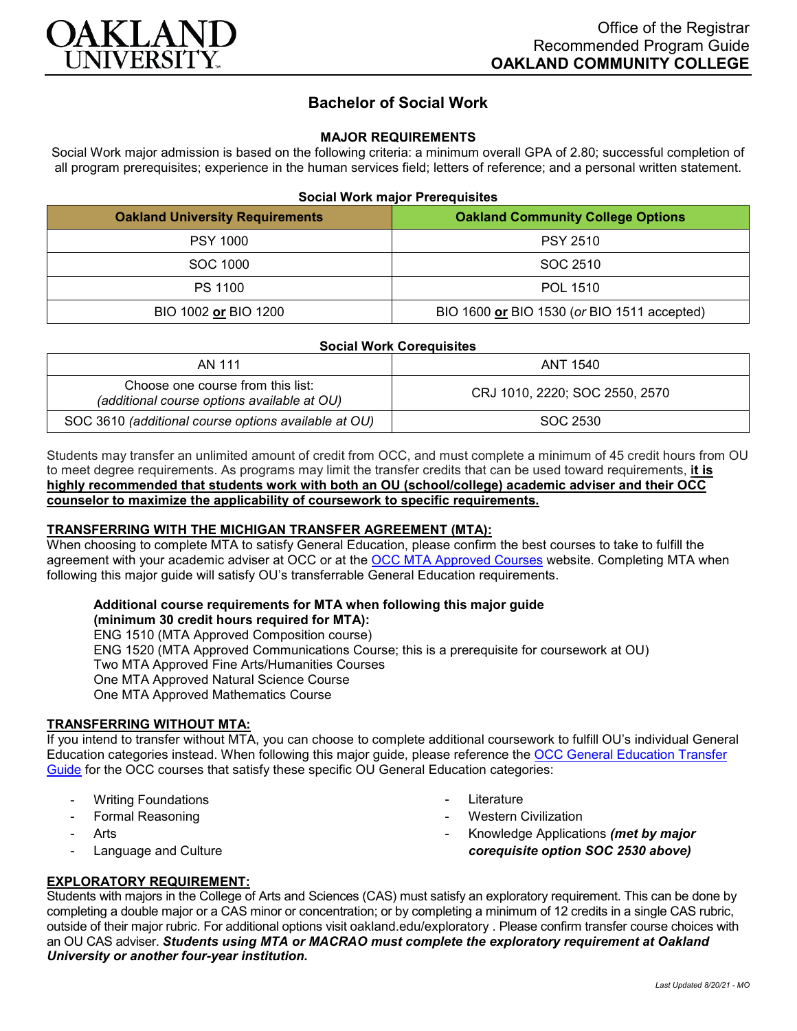

# **Bachelor of Social Work**

### **MAJOR REQUIREMENTS**

Social Work major admission is based on the following criteria: a minimum overall GPA of 2.80; successful completion of all program prerequisites; experience in the human services field; letters of reference; and a personal written statement.

#### **Social Work major Prerequisites**

| <b>Oakland University Requirements</b> | <b>Oakland Community College Options</b>    |
|----------------------------------------|---------------------------------------------|
| <b>PSY 1000</b>                        | <b>PSY 2510</b>                             |
| SOC 1000                               | SOC 2510                                    |
| <b>PS 1100</b>                         | POL 1510                                    |
| BIO 1002 or BIO 1200                   | BIO 1600 or BIO 1530 (or BIO 1511 accepted) |

| <b>Social Work Corequisites</b>                                                  |                                |
|----------------------------------------------------------------------------------|--------------------------------|
| AN 111                                                                           | ANT 1540                       |
| Choose one course from this list:<br>(additional course options available at OU) | CRJ 1010, 2220; SOC 2550, 2570 |
| SOC 3610 (additional course options available at OU)                             | SOC 2530                       |

Students may transfer an unlimited amount of credit from OCC, and must complete a minimum of 45 credit hours from OU to meet degree requirements. As programs may limit the transfer credits that can be used toward requirements, **it is highly recommended that students work with both an OU (school/college) academic adviser and their OCC counselor to maximize the applicability of coursework to specific requirements.**

### **TRANSFERRING WITH THE MICHIGAN TRANSFER AGREEMENT (MTA):**

When choosing to complete MTA to satisfy General Education, please confirm the best courses to take to fulfill the agreement with your academic adviser at OCC or at the [OCC MTA Approved Courses](http://catalog.oaklandcc.edu/graduation-requirements/michigan-transfer-agreement/) website. Completing MTA when following this major guide will satisfy OU's transferrable General Education requirements.

## **Additional course requirements for MTA when following this major guide**

**(minimum 30 credit hours required for MTA):** ENG 1510 (MTA Approved Composition course) ENG 1520 (MTA Approved Communications Course; this is a prerequisite for coursework at OU) Two MTA Approved Fine Arts/Humanities Courses One MTA Approved Natural Science Course One MTA Approved Mathematics Course

### **TRANSFERRING WITHOUT MTA:**

If you intend to transfer without MTA, you can choose to complete additional coursework to fulfill OU's individual General Education categories instead. When following this major guide, please reference the [OCC General Education Transfer](https://www.oakland.edu/Assets/Oakland/program-guides/oakland-community-college/university-general-education-requirements/OCC%20Gen%20Ed.pdf)  [Guide](https://www.oakland.edu/Assets/Oakland/program-guides/oakland-community-college/university-general-education-requirements/OCC%20Gen%20Ed.pdf) for the OCC courses that satisfy these specific OU General Education categories:

- **Writing Foundations**
- Formal Reasoning
- **Arts**
- Language and Culture
- **Literature**
- **Western Civilization** 
	- Knowledge Applications *(met by major corequisite option SOC 2530 above)*

### **EXPLORATORY REQUIREMENT:**

Students with majors in the College of Arts and Sciences (CAS) must satisfy an exploratory requirement. This can be done by completing a double major or a CAS minor or concentration; or by completing a minimum of 12 credits in a single CAS rubric, outside of their major rubric. For additional options visit [oakland.edu/exploratory](http://www.oakland.edu/exploratory) . Please confirm transfer course choices with an OU CAS adviser. *Students using MTA or MACRAO must complete the exploratory requirement at Oakland University or another four-year institution.*